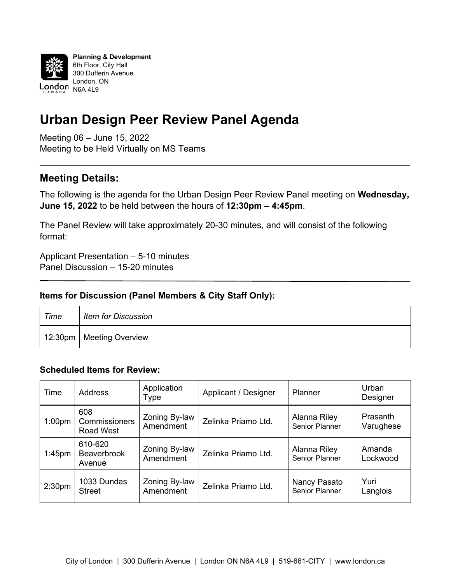

## **Urban Design Peer Review Panel Agenda**

Meeting 06 – June 15, 2022 Meeting to be Held Virtually on MS Teams

## **Meeting Details:**

The following is the agenda for the Urban Design Peer Review Panel meeting on **Wednesday, June 15, 2022** to be held between the hours of **12:30pm – 4:45pm**.

The Panel Review will take approximately 20-30 minutes, and will consist of the following format:

Applicant Presentation – 5-10 minutes Panel Discussion – 15-20 minutes

## **Items for Discussion (Panel Members & City Staff Only):**

| Time | <b>Item for Discussion</b> |
|------|----------------------------|
|      | 12:30pm   Meeting Overview |

## **Scheduled Items for Review:**

| Time               | <b>Address</b>                           | Application<br>Type        | Applicant / Designer | Planner                        | Urban<br>Designer     |
|--------------------|------------------------------------------|----------------------------|----------------------|--------------------------------|-----------------------|
| 1:00 <sub>pm</sub> | 608<br>Commissioners<br><b>Road West</b> | Zoning By-law<br>Amendment | Zelinka Priamo Ltd.  | Alanna Riley<br>Senior Planner | Prasanth<br>Varughese |
| $1:45$ pm          | 610-620<br><b>Beaverbrook</b><br>Avenue  | Zoning By-law<br>Amendment | Zelinka Priamo Ltd.  | Alanna Riley<br>Senior Planner | Amanda<br>Lockwood    |
| 2:30 <sub>pm</sub> | 1033 Dundas<br><b>Street</b>             | Zoning By-law<br>Amendment | Zelinka Priamo Ltd.  | Nancy Pasato<br>Senior Planner | Yuri<br>Langlois      |